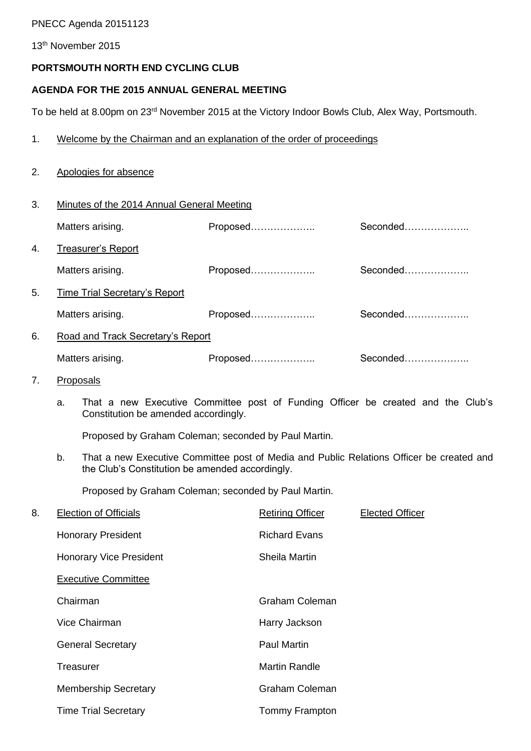#### PNECC Agenda 20151123

13th November 2015

## **PORTSMOUTH NORTH END CYCLING CLUB**

3. Minutes of the 2014 Annual General Meeting

#### **AGENDA FOR THE 2015 ANNUAL GENERAL MEETING**

To be held at 8.00pm on 23<sup>rd</sup> November 2015 at the Victory Indoor Bowls Club, Alex Way, Portsmouth.

#### 1. Welcome by the Chairman and an explanation of the order of proceedings

### 2. Apologies for absence

|    | Matters arising.                  | Proposed | Seconded |  |
|----|-----------------------------------|----------|----------|--|
| 4. | <b>Treasurer's Report</b>         |          |          |  |
|    | Matters arising.                  | Proposed | Seconded |  |
| 5. | Time Trial Secretary's Report     |          |          |  |
|    | Matters arising.                  | Proposed | Seconded |  |
| 6. | Road and Track Secretary's Report |          |          |  |
|    | Matters arising.                  | Proposed | Seconded |  |

#### 7. Proposals

a. That a new Executive Committee post of Funding Officer be created and the Club's Constitution be amended accordingly.

Proposed by Graham Coleman; seconded by Paul Martin.

b. That a new Executive Committee post of Media and Public Relations Officer be created and the Club's Constitution be amended accordingly.

Proposed by Graham Coleman; seconded by Paul Martin.

| 8. | <b>Election of Officials</b>   | <b>Retiring Officer</b> | <b>Elected Officer</b> |
|----|--------------------------------|-------------------------|------------------------|
|    | <b>Honorary President</b>      | <b>Richard Evans</b>    |                        |
|    | <b>Honorary Vice President</b> | Sheila Martin           |                        |
|    | <b>Executive Committee</b>     |                         |                        |
|    | Chairman                       | Graham Coleman          |                        |
|    | Vice Chairman                  | Harry Jackson           |                        |
|    | <b>General Secretary</b>       | <b>Paul Martin</b>      |                        |
|    | <b>Treasurer</b>               | <b>Martin Randle</b>    |                        |
|    | <b>Membership Secretary</b>    | <b>Graham Coleman</b>   |                        |
|    | <b>Time Trial Secretary</b>    | <b>Tommy Frampton</b>   |                        |